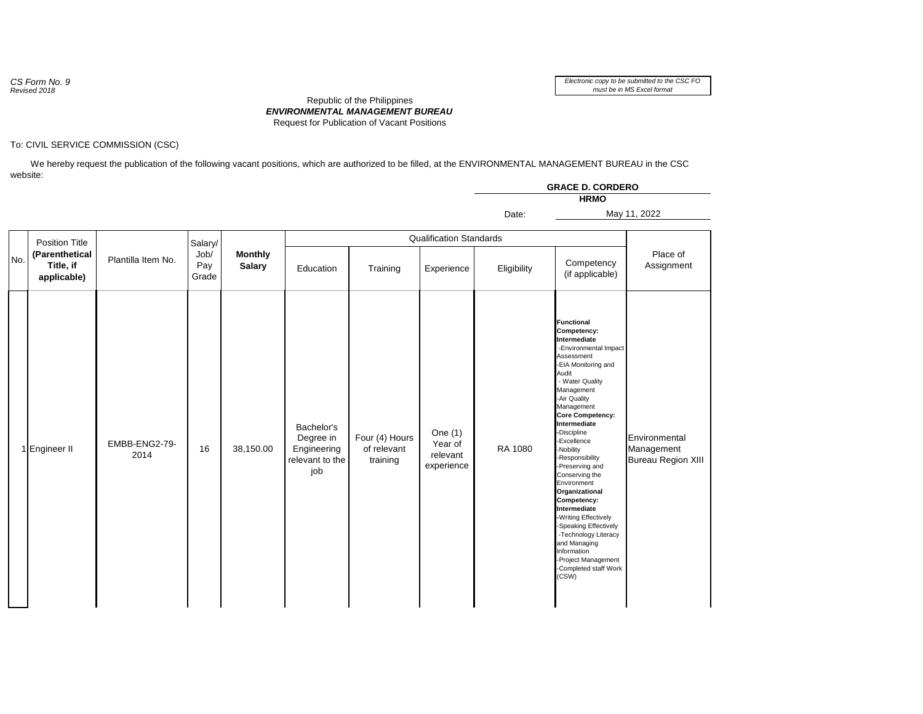*CS Form No. 9 Revised 2018*

## To: CIVIL SERVICE COMMISSION (CSC)

 We hereby request the publication of the following vacant positions, which are authorized to be filled, at the ENVIRONMENTAL MANAGEMENT BUREAU in the CSC website:

|     |                                                                     |                       |                                 |                                 |                                                                  |                                           |                                                | <b>GRACE D. CORDERO</b><br><b>HRMO</b> |                                                                                                                                                                                                                                                                                                                                                                                                                                                                                                                                                                       |                                                          |  |
|-----|---------------------------------------------------------------------|-----------------------|---------------------------------|---------------------------------|------------------------------------------------------------------|-------------------------------------------|------------------------------------------------|----------------------------------------|-----------------------------------------------------------------------------------------------------------------------------------------------------------------------------------------------------------------------------------------------------------------------------------------------------------------------------------------------------------------------------------------------------------------------------------------------------------------------------------------------------------------------------------------------------------------------|----------------------------------------------------------|--|
|     |                                                                     |                       |                                 |                                 |                                                                  |                                           |                                                | Date:                                  |                                                                                                                                                                                                                                                                                                                                                                                                                                                                                                                                                                       | May 11, 2022                                             |  |
| No. | <b>Position Title</b><br>(Parenthetical<br>Title, if<br>applicable) | Plantilla Item No.    | Salary/<br>Job/<br>Pay<br>Grade | <b>Monthly</b><br><b>Salary</b> | <b>Qualification Standards</b>                                   |                                           |                                                |                                        |                                                                                                                                                                                                                                                                                                                                                                                                                                                                                                                                                                       |                                                          |  |
|     |                                                                     |                       |                                 |                                 | Education                                                        | Training                                  | Experience                                     | Eligibility                            | Competency<br>(if applicable)                                                                                                                                                                                                                                                                                                                                                                                                                                                                                                                                         | Place of<br>Assignment                                   |  |
|     | 1 Engineer II                                                       | EMBB-ENG2-79-<br>2014 | 16                              | 38,150.00                       | Bachelor's<br>Degree in<br>Engineering<br>relevant to the<br>job | Four (4) Hours<br>of relevant<br>training | One $(1)$<br>Year of<br>relevant<br>experience | RA 1080                                | <b>Functional</b><br>Competency:<br>Intermediate<br>-Environmental Impact<br>Assessment<br>-EIA Monitoring and<br>Audit<br>- Water Quality<br>Management<br>-Air Quality<br>Management<br><b>Core Competency:</b><br>Intermediate<br>-Discipline<br>-Excellence<br>-Nobility<br>-Responsibility<br>-Preserving and<br>Conserving the<br>Environment<br>Organizational<br>Competency:<br>Intermediate<br>-Writing Effectively<br>-Speaking Effectively<br>-Technology Literacy<br>and Managing<br>Information<br>-Project Management<br>-Completed staff Work<br>(CSW) | Environmental<br>Management<br><b>Bureau Region XIII</b> |  |

## *ENVIRONMENTAL MANAGEMENT BUREAU* Republic of the Philippines Request for Publication of Vacant Positions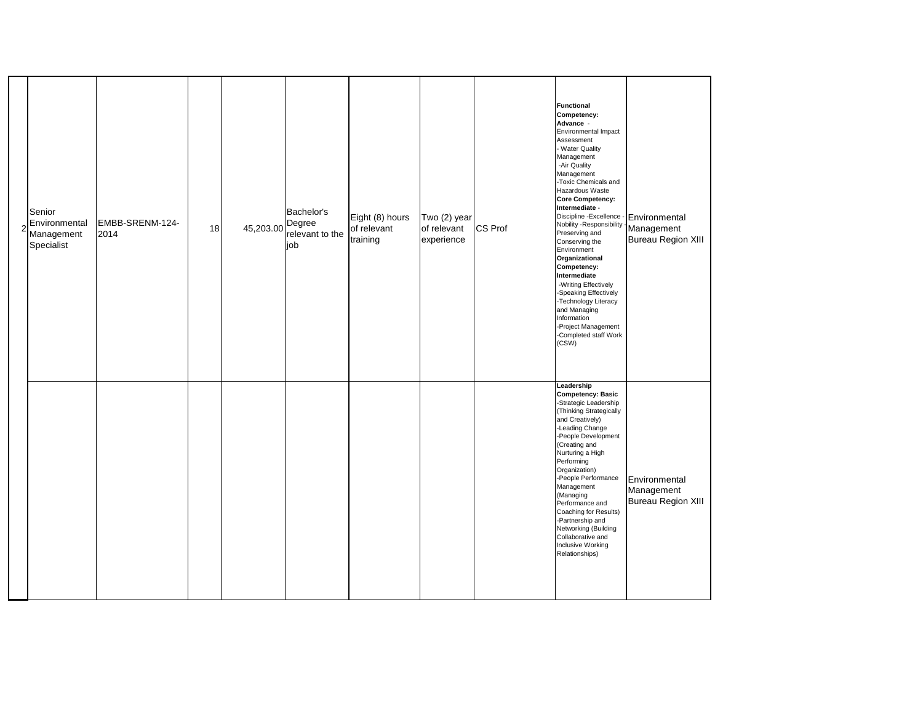| Senior<br>Environmental<br>Management<br>Specialist | EMBB-SRENM-124-<br>2014 | 18 | 45,203.00 Degree | Bachelor's<br>relevant to the<br>job | Eight (8) hours<br>of relevant<br>training | Two (2) year<br>of relevant<br>experience | CS Prof | <b>Functional</b><br>Competency:<br>Advance -<br>Environmental Impact<br>Assessment<br>- Water Quality<br>Management<br>-Air Quality<br>Management<br>-Toxic Chemicals and<br>Hazardous Waste<br>Core Competency:<br>Intermediate -<br>Discipline - Excellence -<br>Nobility - Responsibility<br>Preserving and<br>Conserving the<br>Environment<br>Organizational<br>Competency:<br>Intermediate<br>-Writing Effectively<br>-Speaking Effectively<br>-Technology Literacy<br>and Managing<br>Information<br>-Project Management<br>-Completed staff Work<br>(CSW) | Environmental<br>Management<br>Bureau Region XIII |
|-----------------------------------------------------|-------------------------|----|------------------|--------------------------------------|--------------------------------------------|-------------------------------------------|---------|--------------------------------------------------------------------------------------------------------------------------------------------------------------------------------------------------------------------------------------------------------------------------------------------------------------------------------------------------------------------------------------------------------------------------------------------------------------------------------------------------------------------------------------------------------------------|---------------------------------------------------|
|                                                     |                         |    |                  |                                      |                                            |                                           |         | Leadership<br>Competency: Basic<br>-Strategic Leadership<br>(Thinking Strategically<br>and Creatively)<br>-Leading Change<br>-People Development<br>(Creating and<br>Nurturing a High<br>Performing<br>Organization)<br>-People Performance<br>Management<br>(Managing<br>Performance and<br>Coaching for Results)<br>-Partnership and<br>Networking (Building<br>Collaborative and<br>Inclusive Working<br>Relationships)                                                                                                                                         | Environmental<br>Management<br>Bureau Region XIII |